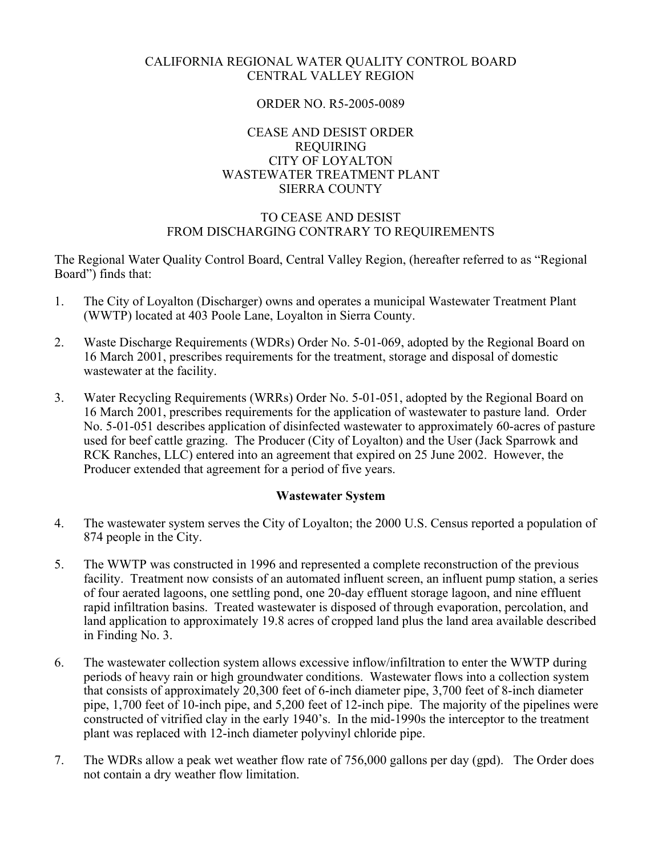## CALIFORNIA REGIONAL WATER QUALITY CONTROL BOARD CENTRAL VALLEY REGION

## ORDER NO. R5-2005-0089

## CEASE AND DESIST ORDER REQUIRING CITY OF LOYALTON WASTEWATER TREATMENT PLANT SIERRA COUNTY

# TO CEASE AND DESIST FROM DISCHARGING CONTRARY TO REQUIREMENTS

The Regional Water Quality Control Board, Central Valley Region, (hereafter referred to as "Regional Board") finds that:

- 1. The City of Loyalton (Discharger) owns and operates a municipal Wastewater Treatment Plant (WWTP) located at 403 Poole Lane, Loyalton in Sierra County.
- 2. Waste Discharge Requirements (WDRs) Order No. 5-01-069, adopted by the Regional Board on 16 March 2001, prescribes requirements for the treatment, storage and disposal of domestic wastewater at the facility.
- 3. Water Recycling Requirements (WRRs) Order No. 5-01-051, adopted by the Regional Board on 16 March 2001, prescribes requirements for the application of wastewater to pasture land. Order No. 5-01-051 describes application of disinfected wastewater to approximately 60-acres of pasture used for beef cattle grazing. The Producer (City of Loyalton) and the User (Jack Sparrowk and RCK Ranches, LLC) entered into an agreement that expired on 25 June 2002. However, the Producer extended that agreement for a period of five years.

## **Wastewater System**

- 4. The wastewater system serves the City of Loyalton; the 2000 U.S. Census reported a population of 874 people in the City.
- 5. The WWTP was constructed in 1996 and represented a complete reconstruction of the previous facility. Treatment now consists of an automated influent screen, an influent pump station, a series of four aerated lagoons, one settling pond, one 20-day effluent storage lagoon, and nine effluent rapid infiltration basins. Treated wastewater is disposed of through evaporation, percolation, and land application to approximately 19.8 acres of cropped land plus the land area available described in Finding No. 3.
- 6. The wastewater collection system allows excessive inflow/infiltration to enter the WWTP during periods of heavy rain or high groundwater conditions. Wastewater flows into a collection system that consists of approximately 20,300 feet of 6-inch diameter pipe, 3,700 feet of 8-inch diameter pipe, 1,700 feet of 10-inch pipe, and 5,200 feet of 12-inch pipe. The majority of the pipelines were constructed of vitrified clay in the early 1940's. In the mid-1990s the interceptor to the treatment plant was replaced with 12-inch diameter polyvinyl chloride pipe.
- 7. The WDRs allow a peak wet weather flow rate of 756,000 gallons per day (gpd). The Order does not contain a dry weather flow limitation.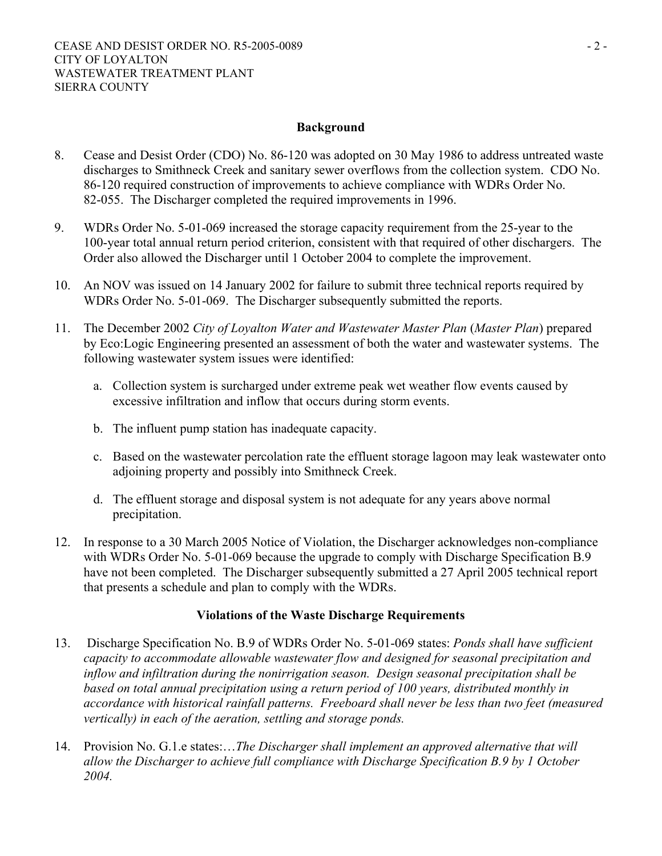## **Background**

- 8. Cease and Desist Order (CDO) No. 86-120 was adopted on 30 May 1986 to address untreated waste discharges to Smithneck Creek and sanitary sewer overflows from the collection system. CDO No. 86-120 required construction of improvements to achieve compliance with WDRs Order No. 82-055. The Discharger completed the required improvements in 1996.
- 9. WDRs Order No. 5-01-069 increased the storage capacity requirement from the 25-year to the 100-year total annual return period criterion, consistent with that required of other dischargers. The Order also allowed the Discharger until 1 October 2004 to complete the improvement.
- 10. An NOV was issued on 14 January 2002 for failure to submit three technical reports required by WDRs Order No. 5-01-069. The Discharger subsequently submitted the reports.
- 11. The December 2002 *City of Loyalton Water and Wastewater Master Plan* (*Master Plan*) prepared by Eco:Logic Engineering presented an assessment of both the water and wastewater systems. The following wastewater system issues were identified:
	- a. Collection system is surcharged under extreme peak wet weather flow events caused by excessive infiltration and inflow that occurs during storm events.
	- b. The influent pump station has inadequate capacity.
	- c. Based on the wastewater percolation rate the effluent storage lagoon may leak wastewater onto adjoining property and possibly into Smithneck Creek.
	- d. The effluent storage and disposal system is not adequate for any years above normal precipitation.
- 12. In response to a 30 March 2005 Notice of Violation, the Discharger acknowledges non-compliance with WDRs Order No. 5-01-069 because the upgrade to comply with Discharge Specification B.9 have not been completed. The Discharger subsequently submitted a 27 April 2005 technical report that presents a schedule and plan to comply with the WDRs.

## **Violations of the Waste Discharge Requirements**

- 13. Discharge Specification No. B.9 of WDRs Order No. 5-01-069 states: *Ponds shall have sufficient capacity to accommodate allowable wastewater flow and designed for seasonal precipitation and inflow and infiltration during the nonirrigation season. Design seasonal precipitation shall be based on total annual precipitation using a return period of 100 years, distributed monthly in accordance with historical rainfall patterns. Freeboard shall never be less than two feet (measured vertically) in each of the aeration, settling and storage ponds.*
- 14. Provision No. G.1.e states:…*The Discharger shall implement an approved alternative that will allow the Discharger to achieve full compliance with Discharge Specification B.9 by 1 October 2004.*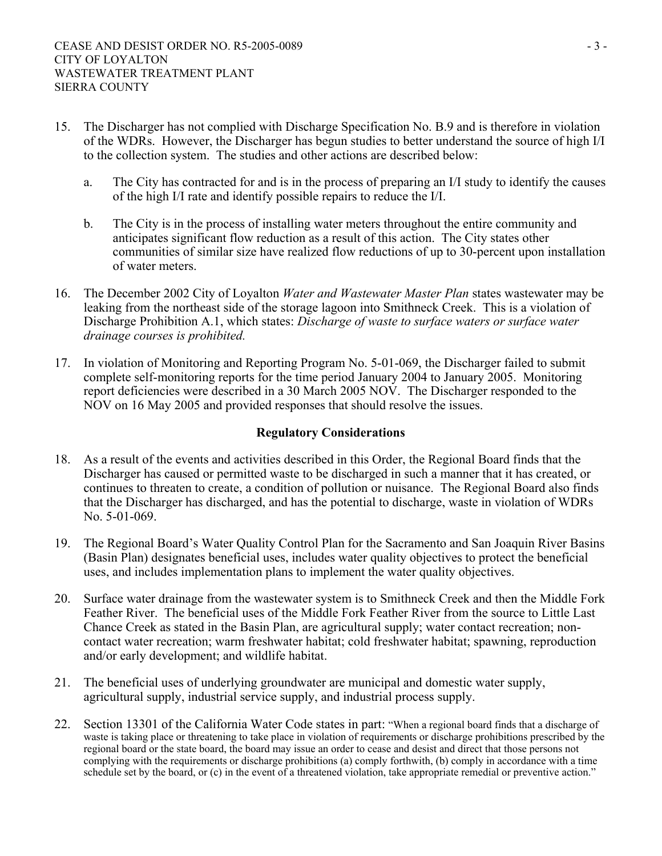- 15. The Discharger has not complied with Discharge Specification No. B.9 and is therefore in violation of the WDRs. However, the Discharger has begun studies to better understand the source of high I/I to the collection system. The studies and other actions are described below:
	- a. The City has contracted for and is in the process of preparing an I/I study to identify the causes of the high I/I rate and identify possible repairs to reduce the I/I.
	- b. The City is in the process of installing water meters throughout the entire community and anticipates significant flow reduction as a result of this action. The City states other communities of similar size have realized flow reductions of up to 30-percent upon installation of water meters.
- 16. The December 2002 City of Loyalton *Water and Wastewater Master Plan* states wastewater may be leaking from the northeast side of the storage lagoon into Smithneck Creek. This is a violation of Discharge Prohibition A.1, which states: *Discharge of waste to surface waters or surface water drainage courses is prohibited.*
- 17. In violation of Monitoring and Reporting Program No. 5-01-069, the Discharger failed to submit complete self-monitoring reports for the time period January 2004 to January 2005. Monitoring report deficiencies were described in a 30 March 2005 NOV. The Discharger responded to the NOV on 16 May 2005 and provided responses that should resolve the issues.

## **Regulatory Considerations**

- 18. As a result of the events and activities described in this Order, the Regional Board finds that the Discharger has caused or permitted waste to be discharged in such a manner that it has created, or continues to threaten to create, a condition of pollution or nuisance. The Regional Board also finds that the Discharger has discharged, and has the potential to discharge, waste in violation of WDRs No. 5-01-069.
- 19. The Regional Board's Water Quality Control Plan for the Sacramento and San Joaquin River Basins (Basin Plan) designates beneficial uses, includes water quality objectives to protect the beneficial uses, and includes implementation plans to implement the water quality objectives.
- 20. Surface water drainage from the wastewater system is to Smithneck Creek and then the Middle Fork Feather River. The beneficial uses of the Middle Fork Feather River from the source to Little Last Chance Creek as stated in the Basin Plan, are agricultural supply; water contact recreation; noncontact water recreation; warm freshwater habitat; cold freshwater habitat; spawning, reproduction and/or early development; and wildlife habitat.
- 21. The beneficial uses of underlying groundwater are municipal and domestic water supply, agricultural supply, industrial service supply, and industrial process supply.
- 22. Section 13301 of the California Water Code states in part: "When a regional board finds that a discharge of waste is taking place or threatening to take place in violation of requirements or discharge prohibitions prescribed by the regional board or the state board, the board may issue an order to cease and desist and direct that those persons not complying with the requirements or discharge prohibitions (a) comply forthwith, (b) comply in accordance with a time schedule set by the board, or (c) in the event of a threatened violation, take appropriate remedial or preventive action."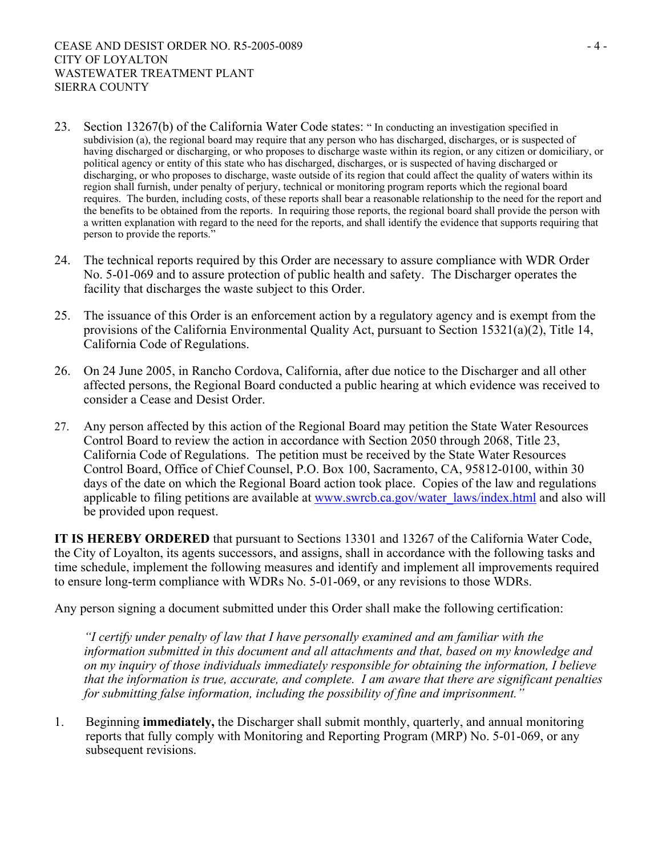- 23. Section 13267(b) of the California Water Code states: " In conducting an investigation specified in subdivision (a), the regional board may require that any person who has discharged, discharges, or is suspected of having discharged or discharging, or who proposes to discharge waste within its region, or any citizen or domiciliary, or political agency or entity of this state who has discharged, discharges, or is suspected of having discharged or discharging, or who proposes to discharge, waste outside of its region that could affect the quality of waters within its region shall furnish, under penalty of perjury, technical or monitoring program reports which the regional board requires. The burden, including costs, of these reports shall bear a reasonable relationship to the need for the report and the benefits to be obtained from the reports. In requiring those reports, the regional board shall provide the person with a written explanation with regard to the need for the reports, and shall identify the evidence that supports requiring that person to provide the reports."
- 24. The technical reports required by this Order are necessary to assure compliance with WDR Order No. 5-01-069 and to assure protection of public health and safety. The Discharger operates the facility that discharges the waste subject to this Order.
- 25. The issuance of this Order is an enforcement action by a regulatory agency and is exempt from the provisions of the California Environmental Quality Act, pursuant to Section 15321(a)(2), Title 14, California Code of Regulations.
- 26. On 24 June 2005, in Rancho Cordova, California, after due notice to the Discharger and all other affected persons, the Regional Board conducted a public hearing at which evidence was received to consider a Cease and Desist Order.
- 27. Any person affected by this action of the Regional Board may petition the State Water Resources Control Board to review the action in accordance with Section 2050 through 2068, Title 23, California Code of Regulations. The petition must be received by the State Water Resources Control Board, Office of Chief Counsel, P.O. Box 100, Sacramento, CA, 95812-0100, within 30 days of the date on which the Regional Board action took place. Copies of the law and regulations applicable to filing petitions are available at www.swrcb.ca.gov/water\_laws/index.html and also will be provided upon request.

**IT IS HEREBY ORDERED** that pursuant to Sections 13301 and 13267 of the California Water Code, the City of Loyalton, its agents successors, and assigns, shall in accordance with the following tasks and time schedule, implement the following measures and identify and implement all improvements required to ensure long-term compliance with WDRs No. 5-01-069, or any revisions to those WDRs.

Any person signing a document submitted under this Order shall make the following certification:

*"I certify under penalty of law that I have personally examined and am familiar with the information submitted in this document and all attachments and that, based on my knowledge and on my inquiry of those individuals immediately responsible for obtaining the information, I believe that the information is true, accurate, and complete. I am aware that there are significant penalties for submitting false information, including the possibility of fine and imprisonment."* 

1. Beginning **immediately,** the Discharger shall submit monthly, quarterly, and annual monitoring reports that fully comply with Monitoring and Reporting Program (MRP) No. 5-01-069, or any subsequent revisions.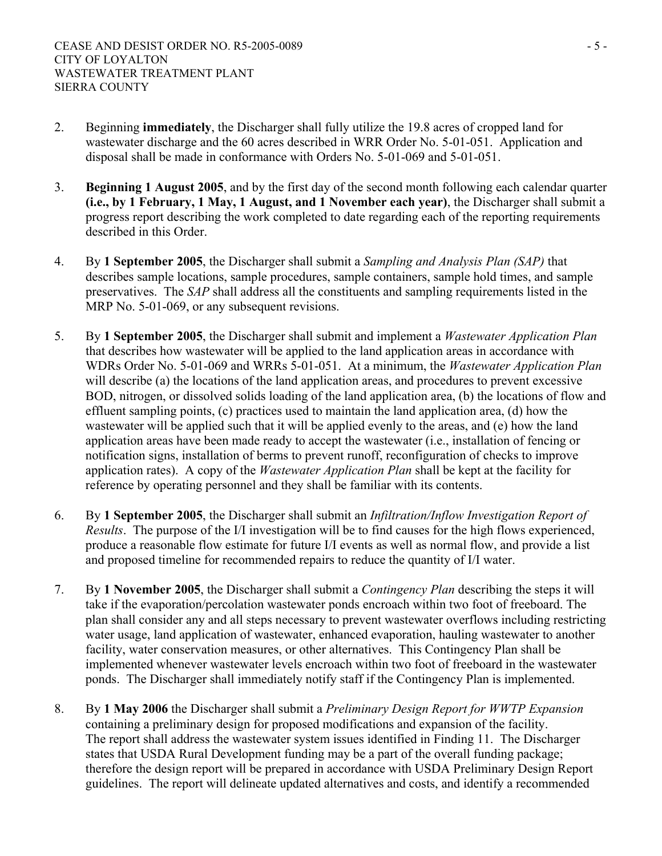- 2. Beginning **immediately**, the Discharger shall fully utilize the 19.8 acres of cropped land for wastewater discharge and the 60 acres described in WRR Order No. 5-01-051. Application and disposal shall be made in conformance with Orders No. 5-01-069 and 5-01-051.
- 3. **Beginning 1 August 2005**, and by the first day of the second month following each calendar quarter **(i.e., by 1 February, 1 May, 1 August, and 1 November each year)**, the Discharger shall submit a progress report describing the work completed to date regarding each of the reporting requirements described in this Order.
- 4. By **1 September 2005**, the Discharger shall submit a *Sampling and Analysis Plan (SAP)* that describes sample locations, sample procedures, sample containers, sample hold times, and sample preservatives. The *SAP* shall address all the constituents and sampling requirements listed in the MRP No. 5-01-069, or any subsequent revisions.
- 5. By **1 September 2005**, the Discharger shall submit and implement a *Wastewater Application Plan*  that describes how wastewater will be applied to the land application areas in accordance with WDRs Order No. 5-01-069 and WRRs 5-01-051. At a minimum, the *Wastewater Application Plan* will describe (a) the locations of the land application areas, and procedures to prevent excessive BOD, nitrogen, or dissolved solids loading of the land application area, (b) the locations of flow and effluent sampling points, (c) practices used to maintain the land application area, (d) how the wastewater will be applied such that it will be applied evenly to the areas, and (e) how the land application areas have been made ready to accept the wastewater (i.e., installation of fencing or notification signs, installation of berms to prevent runoff, reconfiguration of checks to improve application rates). A copy of the *Wastewater Application Plan* shall be kept at the facility for reference by operating personnel and they shall be familiar with its contents.
- 6. By **1 September 2005**, the Discharger shall submit an *Infiltration/Inflow Investigation Report of Results*. The purpose of the I/I investigation will be to find causes for the high flows experienced, produce a reasonable flow estimate for future I/I events as well as normal flow, and provide a list and proposed timeline for recommended repairs to reduce the quantity of I/I water.
- 7. By **1 November 2005**, the Discharger shall submit a *Contingency Plan* describing the steps it will take if the evaporation/percolation wastewater ponds encroach within two foot of freeboard. The plan shall consider any and all steps necessary to prevent wastewater overflows including restricting water usage, land application of wastewater, enhanced evaporation, hauling wastewater to another facility, water conservation measures, or other alternatives. This Contingency Plan shall be implemented whenever wastewater levels encroach within two foot of freeboard in the wastewater ponds. The Discharger shall immediately notify staff if the Contingency Plan is implemented.
- 8. By **1 May 2006** the Discharger shall submit a *Preliminary Design Report for WWTP Expansion*  containing a preliminary design for proposed modifications and expansion of the facility. The report shall address the wastewater system issues identified in Finding 11. The Discharger states that USDA Rural Development funding may be a part of the overall funding package; therefore the design report will be prepared in accordance with USDA Preliminary Design Report guidelines. The report will delineate updated alternatives and costs, and identify a recommended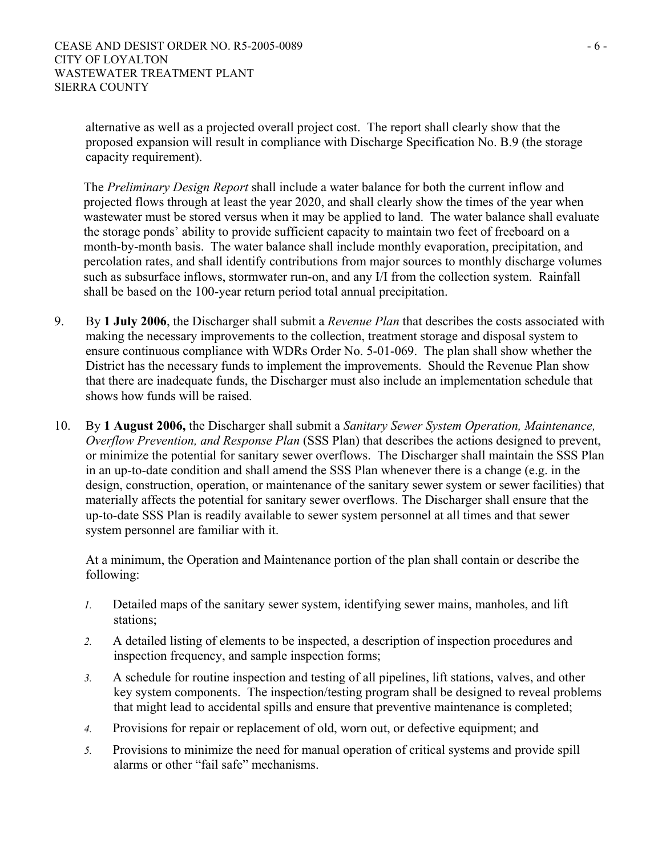alternative as well as a projected overall project cost. The report shall clearly show that the proposed expansion will result in compliance with Discharge Specification No. B.9 (the storage capacity requirement).

The *Preliminary Design Report* shall include a water balance for both the current inflow and projected flows through at least the year 2020, and shall clearly show the times of the year when wastewater must be stored versus when it may be applied to land. The water balance shall evaluate the storage ponds' ability to provide sufficient capacity to maintain two feet of freeboard on a month-by-month basis. The water balance shall include monthly evaporation, precipitation, and percolation rates, and shall identify contributions from major sources to monthly discharge volumes such as subsurface inflows, stormwater run-on, and any I/I from the collection system. Rainfall shall be based on the 100-year return period total annual precipitation.

- 9. By **1 July 2006**, the Discharger shall submit a *Revenue Plan* that describes the costs associated with making the necessary improvements to the collection, treatment storage and disposal system to ensure continuous compliance with WDRs Order No. 5-01-069. The plan shall show whether the District has the necessary funds to implement the improvements. Should the Revenue Plan show that there are inadequate funds, the Discharger must also include an implementation schedule that shows how funds will be raised.
- 10. By **1 August 2006,** the Discharger shall submit a *Sanitary Sewer System Operation, Maintenance, Overflow Prevention, and Response Plan* (SSS Plan) that describes the actions designed to prevent, or minimize the potential for sanitary sewer overflows. The Discharger shall maintain the SSS Plan in an up-to-date condition and shall amend the SSS Plan whenever there is a change (e.g. in the design, construction, operation, or maintenance of the sanitary sewer system or sewer facilities) that materially affects the potential for sanitary sewer overflows. The Discharger shall ensure that the up-to-date SSS Plan is readily available to sewer system personnel at all times and that sewer system personnel are familiar with it.

At a minimum, the Operation and Maintenance portion of the plan shall contain or describe the following:

- *1.* Detailed maps of the sanitary sewer system, identifying sewer mains, manholes, and lift stations;
- *2.* A detailed listing of elements to be inspected, a description of inspection procedures and inspection frequency, and sample inspection forms;
- *3.* A schedule for routine inspection and testing of all pipelines, lift stations, valves, and other key system components. The inspection/testing program shall be designed to reveal problems that might lead to accidental spills and ensure that preventive maintenance is completed;
- *4.* Provisions for repair or replacement of old, worn out, or defective equipment; and
- *5.* Provisions to minimize the need for manual operation of critical systems and provide spill alarms or other "fail safe" mechanisms.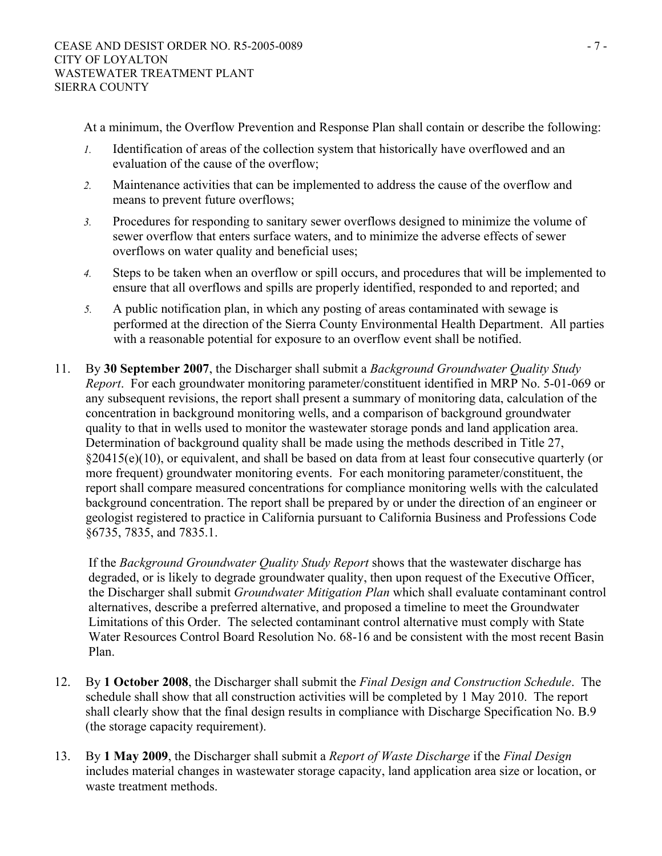At a minimum, the Overflow Prevention and Response Plan shall contain or describe the following:

- *1.* Identification of areas of the collection system that historically have overflowed and an evaluation of the cause of the overflow;
- *2.* Maintenance activities that can be implemented to address the cause of the overflow and means to prevent future overflows;
- *3.* Procedures for responding to sanitary sewer overflows designed to minimize the volume of sewer overflow that enters surface waters, and to minimize the adverse effects of sewer overflows on water quality and beneficial uses;
- *4.* Steps to be taken when an overflow or spill occurs, and procedures that will be implemented to ensure that all overflows and spills are properly identified, responded to and reported; and
- *5.* A public notification plan, in which any posting of areas contaminated with sewage is performed at the direction of the Sierra County Environmental Health Department. All parties with a reasonable potential for exposure to an overflow event shall be notified.
- 11. By **30 September 2007**, the Discharger shall submit a *Background Groundwater Quality Study Report*. For each groundwater monitoring parameter/constituent identified in MRP No. 5-01-069 or any subsequent revisions, the report shall present a summary of monitoring data, calculation of the concentration in background monitoring wells, and a comparison of background groundwater quality to that in wells used to monitor the wastewater storage ponds and land application area. Determination of background quality shall be made using the methods described in Title 27, §20415(e)(10), or equivalent, and shall be based on data from at least four consecutive quarterly (or more frequent) groundwater monitoring events. For each monitoring parameter/constituent, the report shall compare measured concentrations for compliance monitoring wells with the calculated background concentration. The report shall be prepared by or under the direction of an engineer or geologist registered to practice in California pursuant to California Business and Professions Code §6735, 7835, and 7835.1.

If the *Background Groundwater Quality Study Report* shows that the wastewater discharge has degraded, or is likely to degrade groundwater quality, then upon request of the Executive Officer, the Discharger shall submit *Groundwater Mitigation Plan* which shall evaluate contaminant control alternatives, describe a preferred alternative, and proposed a timeline to meet the Groundwater Limitations of this Order. The selected contaminant control alternative must comply with State Water Resources Control Board Resolution No. 68-16 and be consistent with the most recent Basin Plan.

- 12. By **1 October 2008**, the Discharger shall submit the *Final Design and Construction Schedule*. The schedule shall show that all construction activities will be completed by 1 May 2010. The report shall clearly show that the final design results in compliance with Discharge Specification No. B.9 (the storage capacity requirement).
- 13. By **1 May 2009**, the Discharger shall submit a *Report of Waste Discharge* if the *Final Design* includes material changes in wastewater storage capacity, land application area size or location, or waste treatment methods.